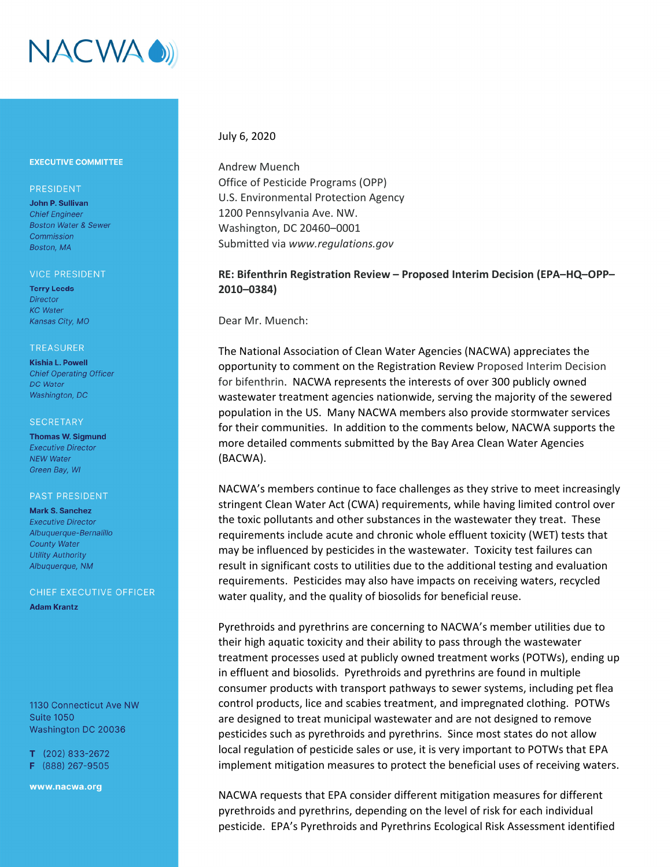

## **EXECUTIVE COMMITTEE**

## PRESIDENT

John P. Sullivan **Chief Engineer Boston Water & Sewer** Commission Boston, MA

#### **VICE PRESIDENT**

**Terry Leeds Director KC** Water Kansas City, MO

#### **TREASURER**

**Kishia L. Powell Chief Operating Officer DC** Water Washington, DC

#### **SECRETARY**

**Thomas W. Sigmund Executive Director NEW Water** Green Bay, WI

### **PAST PRESIDENT**

**Mark S. Sanchez Executive Director** Albuaueraue-Bernalillo **County Water Utility Authority** Albuquerque, NM

## CHIEF EXECUTIVE OFFICER

**Adam Krantz** 

1130 Connecticut Ave NW **Suite 1050** Washington DC 20036

 $T$  (202) 833-2672 F (888) 267-9505

www.nacwa.org

## July 6, 2020

Andrew Muench Office of Pesticide Programs (OPP) U.S. Environmental Protection Agency 1200 Pennsylvania Ave. NW. Washington, DC 20460–0001 Submitted via *www.regulations.gov*

# **RE: Bifenthrin Registration Review – Proposed Interim Decision (EPA–HQ–OPP– 2010–0384)**

Dear Mr. Muench:

The National Association of Clean Water Agencies (NACWA) appreciates the opportunity to comment on the Registration Review Proposed Interim Decision for bifenthrin. NACWA represents the interests of over 300 publicly owned wastewater treatment agencies nationwide, serving the majority of the sewered population in the US. Many NACWA members also provide stormwater services for their communities. In addition to the comments below, NACWA supports the more detailed comments submitted by the Bay Area Clean Water Agencies (BACWA).

NACWA's members continue to face challenges as they strive to meet increasingly stringent Clean Water Act (CWA) requirements, while having limited control over the toxic pollutants and other substances in the wastewater they treat. These requirements include acute and chronic whole effluent toxicity (WET) tests that may be influenced by pesticides in the wastewater. Toxicity test failures can result in significant costs to utilities due to the additional testing and evaluation requirements. Pesticides may also have impacts on receiving waters, recycled water quality, and the quality of biosolids for beneficial reuse.

Pyrethroids and pyrethrins are concerning to NACWA's member utilities due to their high aquatic toxicity and their ability to pass through the wastewater treatment processes used at publicly owned treatment works (POTWs), ending up in effluent and biosolids. Pyrethroids and pyrethrins are found in multiple consumer products with transport pathways to sewer systems, including pet flea control products, lice and scabies treatment, and impregnated clothing. POTWs are designed to treat municipal wastewater and are not designed to remove pesticides such as pyrethroids and pyrethrins. Since most states do not allow local regulation of pesticide sales or use, it is very important to POTWs that EPA implement mitigation measures to protect the beneficial uses of receiving waters.

NACWA requests that EPA consider different mitigation measures for different pyrethroids and pyrethrins, depending on the level of risk for each individual pesticide. EPA's Pyrethroids and Pyrethrins Ecological Risk Assessment identified